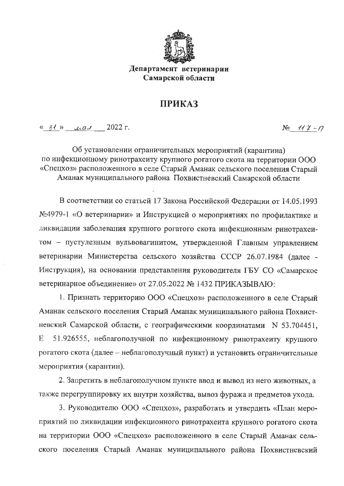

Департамент ветеринарии Самарской области

## **ПРИКАЗ**

 $\frac{1}{2}$   $\frac{3}{2}$   $\frac{1}{2}$   $\frac{1}{2}$   $\frac{1}{2}$   $\frac{1}{2}$   $\frac{1}{2}$   $\frac{1}{2}$   $\frac{1}{2}$   $\frac{1}{2}$   $\frac{1}{2}$   $\frac{1}{2}$   $\frac{1}{2}$   $\frac{1}{2}$   $\frac{1}{2}$   $\frac{1}{2}$   $\frac{1}{2}$   $\frac{1}{2}$   $\frac{1}{2}$   $\frac{1}{2}$   $\frac{1}{2}$   $\frac{1}{2}$ 

 $N_2$   $117 - 7$ 

Об установлении ограничительных мероприятий (карантина) по инфекционному ринотрахеиту крупного рогатого скота на территории ООО «Спецхоз» расположенного в селе Старый Аманак сельского поселения Старый Аманак муниципального района Похвистневский Самарской области

В соответствии со статьей 17 Закона Российской Федерации от 14.05.1993 №4979-1 «О ветеринарии» и Инструкцией о мероприятиях по профилактике и ликвидации заболевания крупного рогатого скота инфекционным ринотрахеитом - пустулезным вульвовагинитом, утвержденной Главным управлением ветеринарии Министерства сельского хозяйства СССР 26.07.1984 (далее -Инструкция), на основании представления руководителя ГБУ СО «Самарское ветеринарное объединение» от 27.05.2022 № 1432 ПРИКАЗЫВАЮ:

1. Признать территорию ООО «Спецхоз» расположенного в селе Старый Аманак сельского поселения Старый Аманак муниципального района Похвистневский Самарской области, с географическими координатами N 53.704451, E 51.926555, неблагополучной по инфекционному ринотрахеиту крупного рогатого скота (далее - неблагополучный пункт) и установить ограничительные мероприятия (карантин).

2. Запретить в неблагополучном пункте ввод и вывод из него животных, а также перегруппировку их внутри хозяйства, вывоз фуража и предметов ухода.

3. Руководителю ООО «Спецхоз», разработать и утвердить «План мероприятий по ликвидации инфекционного ринотрахеита крупного рогатого скота на территории ООО «Спецхоз» расположенного в селе Старый Аманак сельского поселения Старый Аманак муниципального района Похвистневский